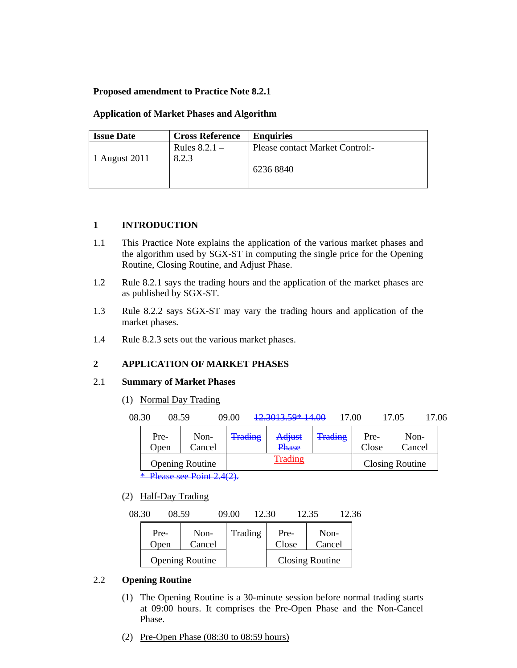# **Proposed amendment to Practice Note 8.2.1**

## **Application of Market Phases and Algorithm**

| <b>Issue Date</b> | <b>Cross Reference</b> | <b>Enquiries</b>                |
|-------------------|------------------------|---------------------------------|
|                   | Rules $8.2.1$ –        | Please contact Market Control:- |
| 1 August 2011     | 8.2.3                  |                                 |
|                   |                        | 6236 8840                       |
|                   |                        |                                 |

## **1 INTRODUCTION**

- 1.1 This Practice Note explains the application of the various market phases and the algorithm used by SGX-ST in computing the single price for the Opening Routine, Closing Routine, and Adjust Phase.
- 1.2 Rule 8.2.1 says the trading hours and the application of the market phases are as published by SGX-ST.
- 1.3 Rule 8.2.2 says SGX-ST may vary the trading hours and application of the market phases.
- 1.4 Rule 8.2.3 sets out the various market phases.

# **2 APPLICATION OF MARKET PHASES**

### 2.1 **Summary of Market Phases**

(1) Normal Day Trading

| 08.30 | 08.59        |                                                                                                                   | 09.00          | 12.3013.59* 14.00      | 17.00          |               | 17.05                  | 17.06 |
|-------|--------------|-------------------------------------------------------------------------------------------------------------------|----------------|------------------------|----------------|---------------|------------------------|-------|
|       | Pre-<br>Open | Non-<br>Cancel                                                                                                    | <b>Trading</b> | Adjust<br><b>Phase</b> | <b>Trading</b> | Pre-<br>Close | Non-<br>Cancel         |       |
|       |              | <b>Opening Routine</b>                                                                                            |                | <b>Trading</b>         |                |               | <b>Closing Routine</b> |       |
|       |              | $\mathcal{L}$ of $\mathbf{D}$ of $\mathbf{D}$ $\mathcal{L}$ $\mathbf{A}$ $\mathcal{L}$ $\mathbf{D}$ $\mathcal{L}$ |                |                        |                |               |                        |       |

\* Please see Point 2.4(2).

(2) Half-Day Trading

08.30 08.59 09.00 12.30 12.35 12.36

| Pre- | Non-                   | Trading | Pre-  | Non-            |
|------|------------------------|---------|-------|-----------------|
| Open | Cancel                 |         | Close | Cancel          |
|      | <b>Opening Routine</b> |         |       | Closing Routine |

# 2.2 **Opening Routine**

- (1) The Opening Routine is a 30-minute session before normal trading starts at 09:00 hours. It comprises the Pre-Open Phase and the Non-Cancel Phase.
- (2) Pre-Open Phase (08:30 to 08:59 hours)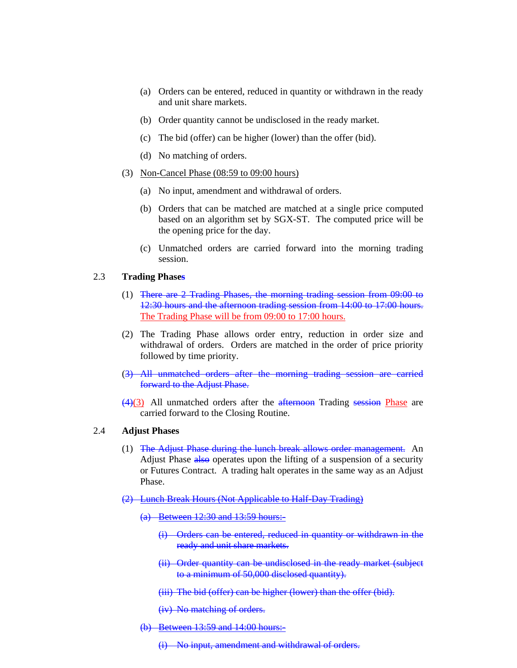- (a) Orders can be entered, reduced in quantity or withdrawn in the ready and unit share markets.
- (b) Order quantity cannot be undisclosed in the ready market.
- (c) The bid (offer) can be higher (lower) than the offer (bid).
- (d) No matching of orders.
- (3) Non-Cancel Phase (08:59 to 09:00 hours)
	- (a) No input, amendment and withdrawal of orders.
	- (b) Orders that can be matched are matched at a single price computed based on an algorithm set by SGX-ST. The computed price will be the opening price for the day.
	- (c) Unmatched orders are carried forward into the morning trading session.

#### 2.3 **Trading Phases**

- (1) There are 2 Trading Phases, the morning trading session from 09:00 to 12:30 hours and the afternoon trading session from 14:00 to 17:00 hours. The Trading Phase will be from 09:00 to 17:00 hours.
- (2) The Trading Phase allows order entry, reduction in order size and withdrawal of orders. Orders are matched in the order of price priority followed by time priority.
- (3) All unmatched orders after the morning trading session are carried forward to the Adjust Phase.
- $(4)(3)$  All unmatched orders after the afternoon Trading session Phase are carried forward to the Closing Routine.

# 2.4 **Adjust Phases**

- (1) The Adjust Phase during the lunch break allows order management. An Adjust Phase also operates upon the lifting of a suspension of a security or Futures Contract. A trading halt operates in the same way as an Adjust Phase.
- (2) Lunch Break Hours (Not Applicable to Half-Day Trading)
	- (a) Between 12:30 and 13:59 hours:-
		- (i) Orders can be entered, reduced in quantity or withdrawn in the ready and unit share markets.
		- (ii) Order quantity can be undisclosed in the ready market (subject to a minimum of 50,000 disclosed quantity).
		- (iii) The bid (offer) can be higher (lower) than the offer (bid).

(iv) No matching of orders.

(b) Between 13:59 and 14:00 hours:-

(i) No input, amendment and withdrawal of orders.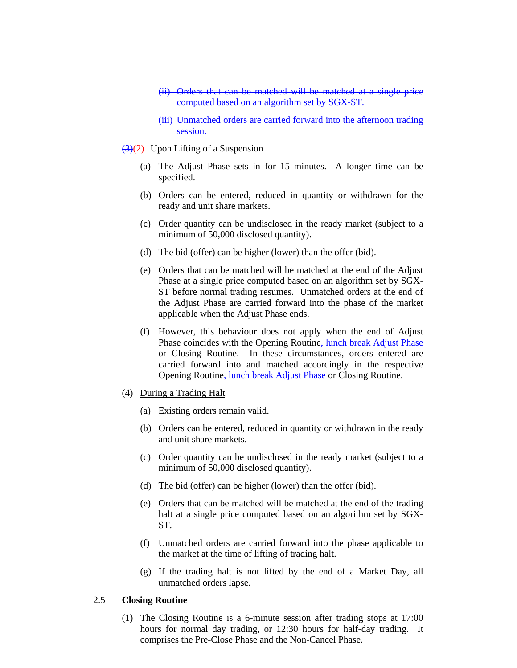- (ii) Orders that can be matched will be matched at a single price computed based on an algorithm set by SGX-ST.
- (iii) Unmatched orders are carried forward into the afternoon trading session.

#### $\left(\frac{3}{2}\right)$  Upon Lifting of a Suspension

- (a) The Adjust Phase sets in for 15 minutes. A longer time can be specified.
- (b) Orders can be entered, reduced in quantity or withdrawn for the ready and unit share markets.
- (c) Order quantity can be undisclosed in the ready market (subject to a minimum of 50,000 disclosed quantity).
- (d) The bid (offer) can be higher (lower) than the offer (bid).
- (e) Orders that can be matched will be matched at the end of the Adjust Phase at a single price computed based on an algorithm set by SGX-ST before normal trading resumes. Unmatched orders at the end of the Adjust Phase are carried forward into the phase of the market applicable when the Adjust Phase ends.
- (f) However, this behaviour does not apply when the end of Adjust Phase coincides with the Opening Routine<del>, lunch break Adjust Phase</del> or Closing Routine. In these circumstances, orders entered are carried forward into and matched accordingly in the respective Opening Routine, lunch break Adjust Phase or Closing Routine.
- (4) During a Trading Halt
	- (a) Existing orders remain valid.
	- (b) Orders can be entered, reduced in quantity or withdrawn in the ready and unit share markets.
	- (c) Order quantity can be undisclosed in the ready market (subject to a minimum of 50,000 disclosed quantity).
	- (d) The bid (offer) can be higher (lower) than the offer (bid).
	- (e) Orders that can be matched will be matched at the end of the trading halt at a single price computed based on an algorithm set by SGX-ST.
	- (f) Unmatched orders are carried forward into the phase applicable to the market at the time of lifting of trading halt.
	- (g) If the trading halt is not lifted by the end of a Market Day, all unmatched orders lapse.

### 2.5 **Closing Routine**

(1) The Closing Routine is a 6-minute session after trading stops at 17:00 hours for normal day trading, or 12:30 hours for half-day trading. It comprises the Pre-Close Phase and the Non-Cancel Phase.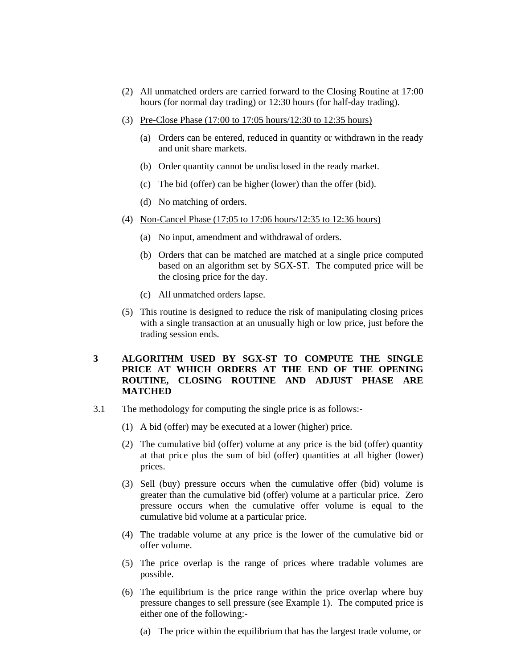- (2) All unmatched orders are carried forward to the Closing Routine at 17:00 hours (for normal day trading) or 12:30 hours (for half-day trading).
- (3) Pre-Close Phase (17:00 to 17:05 hours/12:30 to 12:35 hours)
	- (a) Orders can be entered, reduced in quantity or withdrawn in the ready and unit share markets.
	- (b) Order quantity cannot be undisclosed in the ready market.
	- (c) The bid (offer) can be higher (lower) than the offer (bid).
	- (d) No matching of orders.
- (4) Non-Cancel Phase (17:05 to 17:06 hours/12:35 to 12:36 hours)
	- (a) No input, amendment and withdrawal of orders.
	- (b) Orders that can be matched are matched at a single price computed based on an algorithm set by SGX-ST. The computed price will be the closing price for the day.
	- (c) All unmatched orders lapse.
- (5) This routine is designed to reduce the risk of manipulating closing prices with a single transaction at an unusually high or low price, just before the trading session ends.

# **3 ALGORITHM USED BY SGX-ST TO COMPUTE THE SINGLE PRICE AT WHICH ORDERS AT THE END OF THE OPENING ROUTINE, CLOSING ROUTINE AND ADJUST PHASE ARE MATCHED**

- 3.1 The methodology for computing the single price is as follows:-
	- (1) A bid (offer) may be executed at a lower (higher) price.
	- (2) The cumulative bid (offer) volume at any price is the bid (offer) quantity at that price plus the sum of bid (offer) quantities at all higher (lower) prices.
	- (3) Sell (buy) pressure occurs when the cumulative offer (bid) volume is greater than the cumulative bid (offer) volume at a particular price. Zero pressure occurs when the cumulative offer volume is equal to the cumulative bid volume at a particular price.
	- (4) The tradable volume at any price is the lower of the cumulative bid or offer volume.
	- (5) The price overlap is the range of prices where tradable volumes are possible.
	- (6) The equilibrium is the price range within the price overlap where buy pressure changes to sell pressure (see Example 1). The computed price is either one of the following:-
		- (a) The price within the equilibrium that has the largest trade volume, or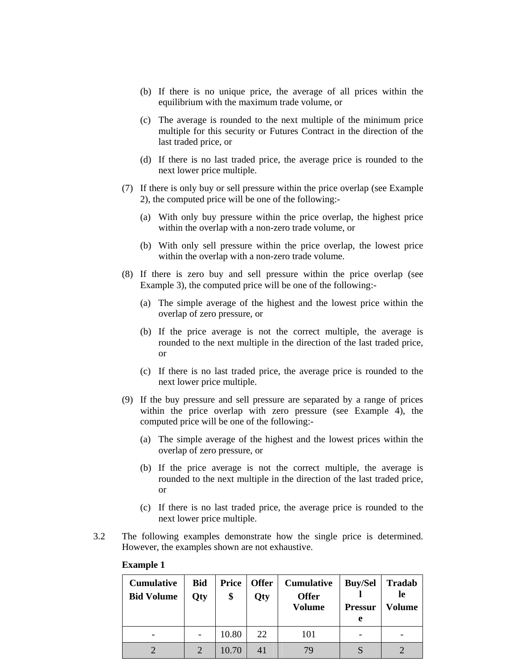- (b) If there is no unique price, the average of all prices within the equilibrium with the maximum trade volume, or
- (c) The average is rounded to the next multiple of the minimum price multiple for this security or Futures Contract in the direction of the last traded price, or
- (d) If there is no last traded price, the average price is rounded to the next lower price multiple.
- (7) If there is only buy or sell pressure within the price overlap (see Example 2), the computed price will be one of the following:-
	- (a) With only buy pressure within the price overlap, the highest price within the overlap with a non-zero trade volume, or
	- (b) With only sell pressure within the price overlap, the lowest price within the overlap with a non-zero trade volume.
- (8) If there is zero buy and sell pressure within the price overlap (see Example 3), the computed price will be one of the following:-
	- (a) The simple average of the highest and the lowest price within the overlap of zero pressure, or
	- (b) If the price average is not the correct multiple, the average is rounded to the next multiple in the direction of the last traded price, or
	- (c) If there is no last traded price, the average price is rounded to the next lower price multiple.
- (9) If the buy pressure and sell pressure are separated by a range of prices within the price overlap with zero pressure (see Example 4), the computed price will be one of the following:-
	- (a) The simple average of the highest and the lowest prices within the overlap of zero pressure, or
	- (b) If the price average is not the correct multiple, the average is rounded to the next multiple in the direction of the last traded price, or
	- (c) If there is no last traded price, the average price is rounded to the next lower price multiple.
- 3.2 The following examples demonstrate how the single price is determined. However, the examples shown are not exhaustive.

| <b>Cumulative</b><br><b>Bid Volume</b> | <b>Bid</b><br><b>Qty</b> | <b>Price</b><br>\$ | <b>Offer</b><br>Qty | <b>Cumulative</b><br><b>Offer</b><br><b>Volume</b> | <b>Buy/Sel</b><br><b>Pressur</b><br>e | Tradab<br>le<br>Volume |
|----------------------------------------|--------------------------|--------------------|---------------------|----------------------------------------------------|---------------------------------------|------------------------|
|                                        |                          | 10.80              | 22                  | 101                                                |                                       |                        |
|                                        | 2                        | 10.70              | 41                  | 79                                                 |                                       |                        |

### **Example 1**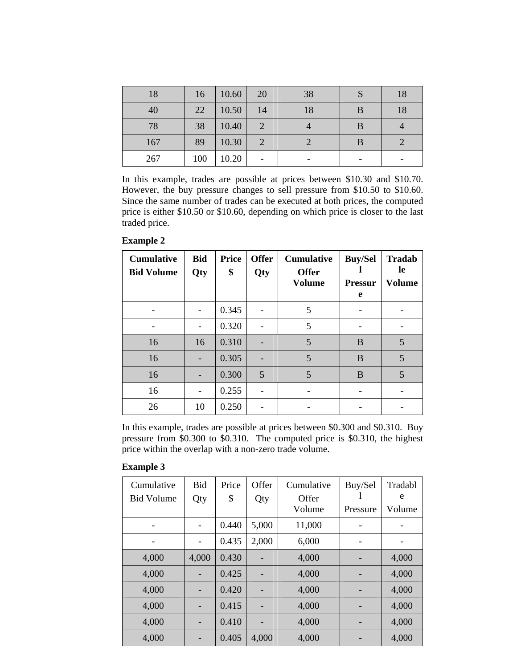| 18  | 16  | 10.60 | 20        | 38 |   | 18 |
|-----|-----|-------|-----------|----|---|----|
| 40  | 22  | 10.50 | 14        | 18 | B | 18 |
| 78  | 38  | 10.40 | $\bigcap$ |    | B |    |
| 167 | 89  | 10.30 | C         |    |   |    |
| 267 | 100 | 10.20 |           |    |   |    |

In this example, trades are possible at prices between \$10.30 and \$10.70. However, the buy pressure changes to sell pressure from \$10.50 to \$10.60. Since the same number of trades can be executed at both prices, the computed price is either \$10.50 or \$10.60, depending on which price is closer to the last traded price.

**Example 2** 

| <b>Cumulative</b><br><b>Bid Volume</b> | <b>Bid</b><br>Qty | <b>Price</b><br>\$ | <b>Offer</b><br>Qty | <b>Cumulative</b><br><b>Offer</b><br><b>Volume</b> | <b>Buy/Sel</b><br><b>Pressur</b><br>e | <b>Tradab</b><br>le<br><b>Volume</b> |
|----------------------------------------|-------------------|--------------------|---------------------|----------------------------------------------------|---------------------------------------|--------------------------------------|
|                                        |                   | 0.345              |                     | 5                                                  |                                       |                                      |
|                                        |                   | 0.320              |                     | 5                                                  |                                       |                                      |
| 16                                     | 16                | 0.310              |                     | 5                                                  | B                                     | 5                                    |
| 16                                     |                   | 0.305              |                     | 5                                                  | B                                     | 5                                    |
| 16                                     |                   | 0.300              | 5                   | 5                                                  | B                                     | 5                                    |
| 16                                     |                   | 0.255              |                     |                                                    |                                       |                                      |
| 26                                     | 10                | 0.250              |                     |                                                    |                                       |                                      |

In this example, trades are possible at prices between \$0.300 and \$0.310. Buy pressure from \$0.300 to \$0.310. The computed price is \$0.310, the highest price within the overlap with a non-zero trade volume.

### **Example 3**

| Cumulative        | <b>Bid</b> | Price | Offer | Cumulative | Buy/Sel  | Tradabl |
|-------------------|------------|-------|-------|------------|----------|---------|
| <b>Bid Volume</b> | Qty        | \$    | Qty   | Offer      |          | e       |
|                   |            |       |       | Volume     | Pressure | Volume  |
|                   |            | 0.440 | 5,000 | 11,000     |          |         |
|                   |            | 0.435 | 2,000 | 6,000      |          |         |
| 4,000             | 4,000      | 0.430 |       | 4,000      |          | 4,000   |
| 4,000             |            | 0.425 |       | 4,000      |          | 4,000   |
| 4,000             |            | 0.420 |       | 4,000      |          | 4,000   |
| 4,000             |            | 0.415 |       | 4,000      |          | 4,000   |
| 4,000             |            | 0.410 |       | 4,000      |          | 4,000   |
| 4,000             |            | 0.405 | 4,000 | 4,000      |          | 4,000   |